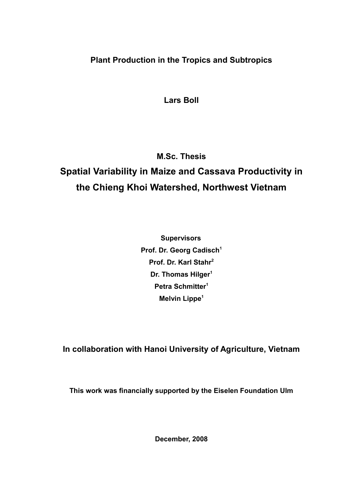**Plant Production in the Tropics and Subtropics**

**Lars Boll**

**M.Sc. Thesis**

## **Spatial Variability in Maize and Cassava Productivity in the Chieng Khoi Watershed, Northwest Vietnam**

**Supervisors Prof. Dr. Georg Cadisch<sup>1</sup> Prof. Dr. Karl Stahr<sup>2</sup> Dr. Thomas Hilger<sup>1</sup> Petra Schmitter<sup>1</sup> Melvin Lippe<sup>1</sup>**

**In collaboration with Hanoi University of Agriculture, Vietnam**

**This work was financially supported by the Eiselen Foundation Ulm**

**December, 2008**